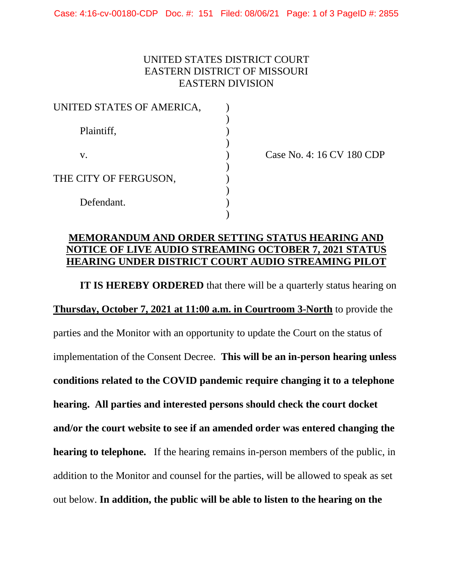## UNITED STATES DISTRICT COURT EASTERN DISTRICT OF MISSOURI EASTERN DIVISION

| UNITED STATES OF AMERICA, |  |
|---------------------------|--|
| Plaintiff,                |  |
| V.                        |  |
| THE CITY OF FERGUSON,     |  |
| Defendant.                |  |

Case No. 4: 16 CV 180 CDP

## **MEMORANDUM AND ORDER SETTING STATUS HEARING AND NOTICE OF LIVE AUDIO STREAMING OCTOBER 7, 2021 STATUS HEARING UNDER DISTRICT COURT AUDIO STREAMING PILOT**

**IT IS HEREBY ORDERED** that there will be a quarterly status hearing on **Thursday, October 7, 2021 at 11:00 a.m. in Courtroom 3-North** to provide the parties and the Monitor with an opportunity to update the Court on the status of implementation of the Consent Decree. **This will be an in-person hearing unless conditions related to the COVID pandemic require changing it to a telephone hearing. All parties and interested persons should check the court docket and/or the court website to see if an amended order was entered changing the hearing to telephone.** If the hearing remains in-person members of the public, in addition to the Monitor and counsel for the parties, will be allowed to speak as set out below. **In addition, the public will be able to listen to the hearing on the**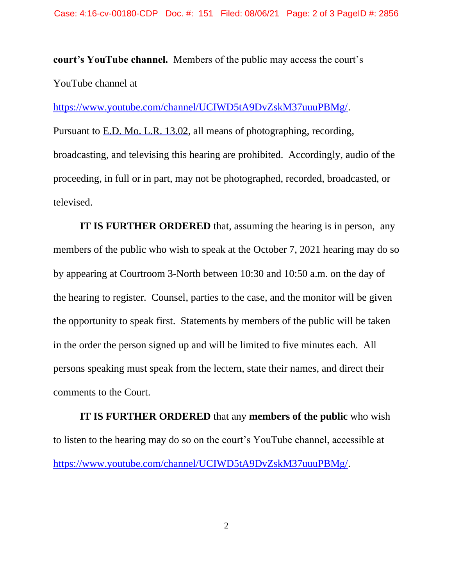**court's YouTube channel.** Members of the public may access the court's YouTube channel at

[https://www.youtube.com/channel/UCIWD5tA9DvZskM37uuuPBMg/.](https://www.youtube.com/channel/UCIWD5tA9DvZskM37uuuPBMg/)

Pursuant to E.D. Mo. L.R. 13.02, all means of photographing, recording, broadcasting, and televising this hearing are prohibited. Accordingly, audio of the proceeding, in full or in part, may not be photographed, recorded, broadcasted, or televised.

**IT IS FURTHER ORDERED** that, assuming the hearing is in person, any members of the public who wish to speak at the October 7, 2021 hearing may do so by appearing at Courtroom 3-North between 10:30 and 10:50 a.m. on the day of the hearing to register. Counsel, parties to the case, and the monitor will be given the opportunity to speak first. Statements by members of the public will be taken in the order the person signed up and will be limited to five minutes each. All persons speaking must speak from the lectern, state their names, and direct their comments to the Court.

**IT IS FURTHER ORDERED** that any **members of the public** who wish to listen to the hearing may do so on the court's YouTube channel, accessible at [https://www.youtube.com/channel/UCIWD5tA9DvZskM37uuuPBMg/.](https://www.youtube.com/channel/UCIWD5tA9DvZskM37uuuPBMg/)